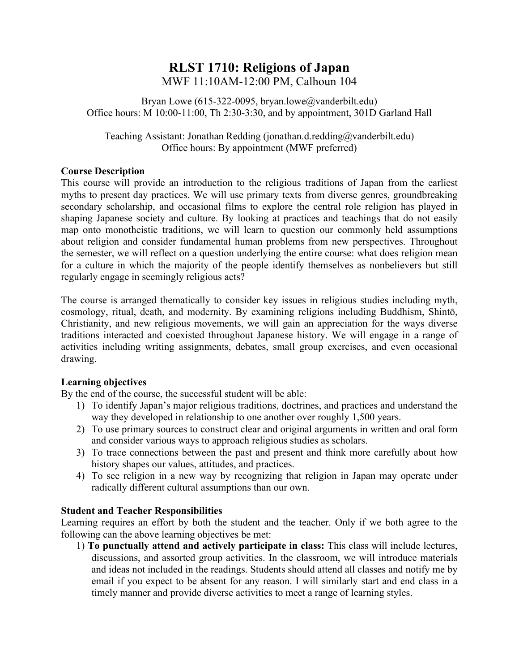# **RLST 1710: Religions of Japan** MWF 11:10AM-12:00 PM, Calhoun 104

Bryan Lowe (615-322-0095, bryan.lowe@vanderbilt.edu) Office hours: M 10:00-11:00, Th 2:30-3:30, and by appointment, 301D Garland Hall

Teaching Assistant: Jonathan Redding (jonathan.d.redding@vanderbilt.edu) Office hours: By appointment (MWF preferred)

# **Course Description**

This course will provide an introduction to the religious traditions of Japan from the earliest myths to present day practices. We will use primary texts from diverse genres, groundbreaking secondary scholarship, and occasional films to explore the central role religion has played in shaping Japanese society and culture. By looking at practices and teachings that do not easily map onto monotheistic traditions, we will learn to question our commonly held assumptions about religion and consider fundamental human problems from new perspectives. Throughout the semester, we will reflect on a question underlying the entire course: what does religion mean for a culture in which the majority of the people identify themselves as nonbelievers but still regularly engage in seemingly religious acts?

The course is arranged thematically to consider key issues in religious studies including myth, cosmology, ritual, death, and modernity. By examining religions including Buddhism, Shintō, Christianity, and new religious movements, we will gain an appreciation for the ways diverse traditions interacted and coexisted throughout Japanese history. We will engage in a range of activities including writing assignments, debates, small group exercises, and even occasional drawing.

# **Learning objectives**

By the end of the course, the successful student will be able:

- 1) To identify Japan's major religious traditions, doctrines, and practices and understand the way they developed in relationship to one another over roughly 1,500 years.
- 2) To use primary sources to construct clear and original arguments in written and oral form and consider various ways to approach religious studies as scholars.
- 3) To trace connections between the past and present and think more carefully about how history shapes our values, attitudes, and practices.
- 4) To see religion in a new way by recognizing that religion in Japan may operate under radically different cultural assumptions than our own.

# **Student and Teacher Responsibilities**

Learning requires an effort by both the student and the teacher. Only if we both agree to the following can the above learning objectives be met:

1) **To punctually attend and actively participate in class:** This class will include lectures, discussions, and assorted group activities. In the classroom, we will introduce materials and ideas not included in the readings. Students should attend all classes and notify me by email if you expect to be absent for any reason. I will similarly start and end class in a timely manner and provide diverse activities to meet a range of learning styles.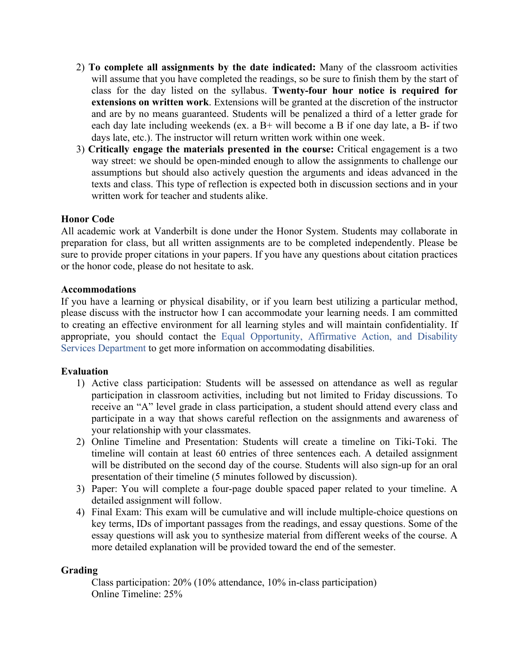- 2) **To complete all assignments by the date indicated:** Many of the classroom activities will assume that you have completed the readings, so be sure to finish them by the start of class for the day listed on the syllabus. **Twenty-four hour notice is required for extensions on written work**. Extensions will be granted at the discretion of the instructor and are by no means guaranteed. Students will be penalized a third of a letter grade for each day late including weekends (ex. a B+ will become a B if one day late, a B- if two days late, etc.). The instructor will return written work within one week.
- 3) **Critically engage the materials presented in the course:** Critical engagement is a two way street: we should be open-minded enough to allow the assignments to challenge our assumptions but should also actively question the arguments and ideas advanced in the texts and class. This type of reflection is expected both in discussion sections and in your written work for teacher and students alike.

#### **Honor Code**

All academic work at Vanderbilt is done under the Honor System. Students may collaborate in preparation for class, but all written assignments are to be completed independently. Please be sure to provide proper citations in your papers. If you have any questions about citation practices or the honor code, please do not hesitate to ask.

#### **Accommodations**

If you have a learning or physical disability, or if you learn best utilizing a particular method, please discuss with the instructor how I can accommodate your learning needs. I am committed to creating an effective environment for all learning styles and will maintain confidentiality. If appropriate, you should contact the Equal Opportunity, Affirmative Action, and Disability Services Department to get more information on accommodating disabilities.

#### **Evaluation**

- 1) Active class participation: Students will be assessed on attendance as well as regular participation in classroom activities, including but not limited to Friday discussions. To receive an "A" level grade in class participation, a student should attend every class and participate in a way that shows careful reflection on the assignments and awareness of your relationship with your classmates.
- 2) Online Timeline and Presentation: Students will create a timeline on Tiki-Toki. The timeline will contain at least 60 entries of three sentences each. A detailed assignment will be distributed on the second day of the course. Students will also sign-up for an oral presentation of their timeline (5 minutes followed by discussion).
- 3) Paper: You will complete a four-page double spaced paper related to your timeline. A detailed assignment will follow.
- 4) Final Exam: This exam will be cumulative and will include multiple-choice questions on key terms, IDs of important passages from the readings, and essay questions. Some of the essay questions will ask you to synthesize material from different weeks of the course. A more detailed explanation will be provided toward the end of the semester.

#### **Grading**

Class participation: 20% (10% attendance, 10% in-class participation) Online Timeline: 25%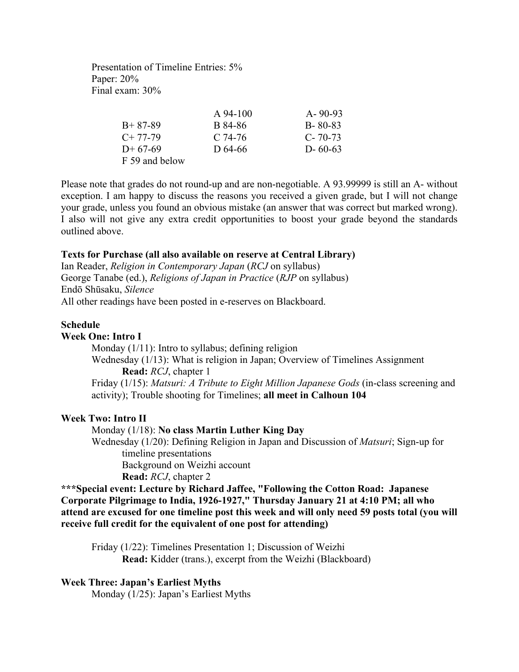Presentation of Timeline Entries: 5% Paper: 20% Final exam: 30%

|                | A 94-100  | $A - 90 - 93$ |
|----------------|-----------|---------------|
| $B+87-89$      | B 84-86   | $B - 80 - 83$ |
| $C+77-79$      | $C.74-76$ | $C - 70 - 73$ |
| $D+67-69$      | D 64-66   | $D - 60-63$   |
| F 59 and below |           |               |

Please note that grades do not round-up and are non-negotiable. A 93.99999 is still an A- without exception. I am happy to discuss the reasons you received a given grade, but I will not change your grade, unless you found an obvious mistake (an answer that was correct but marked wrong). I also will not give any extra credit opportunities to boost your grade beyond the standards outlined above.

#### **Texts for Purchase (all also available on reserve at Central Library)**

Ian Reader, *Religion in Contemporary Japan* (*RCJ* on syllabus) George Tanabe (ed.), *Religions of Japan in Practice* (*RJP* on syllabus) Endō Shūsaku, *Silence* All other readings have been posted in e-reserves on Blackboard.

#### **Schedule**

#### **Week One: Intro I**

Monday (1/11): Intro to syllabus; defining religion Wednesday (1/13): What is religion in Japan; Overview of Timelines Assignment **Read:** *RCJ*, chapter 1 Friday (1/15): *Matsuri: A Tribute to Eight Million Japanese Gods* (in-class screening and activity); Trouble shooting for Timelines; **all meet in Calhoun 104**

#### **Week Two: Intro II**

#### Monday (1/18): **No class Martin Luther King Day**

Wednesday (1/20): Defining Religion in Japan and Discussion of *Matsuri*; Sign-up for timeline presentations Background on Weizhi account

**Read:** *RCJ*, chapter 2

**\*\*\*Special event: Lecture by Richard Jaffee, "Following the Cotton Road: Japanese Corporate Pilgrimage to India, 1926-1927," Thursday January 21 at 4:10 PM; all who attend are excused for one timeline post this week and will only need 59 posts total (you will receive full credit for the equivalent of one post for attending)**

Friday (1/22): Timelines Presentation 1; Discussion of Weizhi **Read:** Kidder (trans.), excerpt from the Weizhi (Blackboard)

#### **Week Three: Japan's Earliest Myths**

Monday (1/25): Japan's Earliest Myths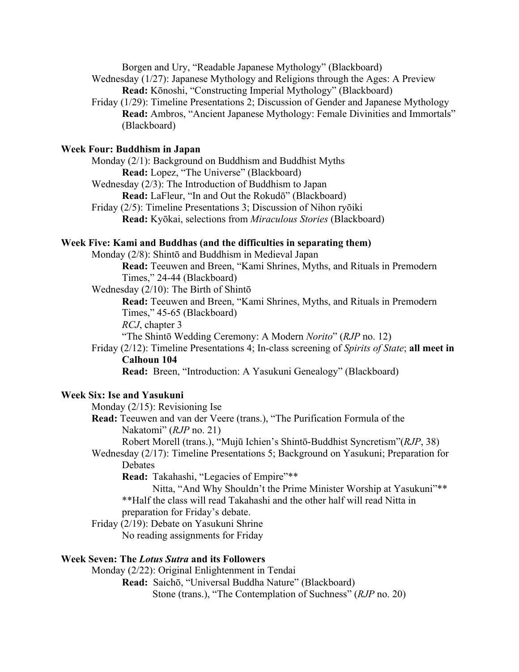Borgen and Ury, "Readable Japanese Mythology" (Blackboard)

Wednesday (1/27): Japanese Mythology and Religions through the Ages: A Preview **Read:** Kōnoshi, "Constructing Imperial Mythology" (Blackboard)

Friday (1/29): Timeline Presentations 2; Discussion of Gender and Japanese Mythology **Read:** Ambros, "Ancient Japanese Mythology: Female Divinities and Immortals" (Blackboard)

#### **Week Four: Buddhism in Japan**

Monday (2/1): Background on Buddhism and Buddhist Myths **Read:** Lopez, "The Universe" (Blackboard) Wednesday (2/3): The Introduction of Buddhism to Japan **Read:** LaFleur, "In and Out the Rokudō" (Blackboard)

Friday (2/5): Timeline Presentations 3; Discussion of Nihon ryōiki **Read:** Kyōkai, selections from *Miraculous Stories* (Blackboard)

# **Week Five: Kami and Buddhas (and the difficulties in separating them)**

Monday (2/8): Shintō and Buddhism in Medieval Japan

**Read:** Teeuwen and Breen, "Kami Shrines, Myths, and Rituals in Premodern Times," 24-44 (Blackboard)

Wednesday (2/10): The Birth of Shintō

**Read:** Teeuwen and Breen, "Kami Shrines, Myths, and Rituals in Premodern Times," 45-65 (Blackboard)

*RCJ*, chapter 3

"The Shintō Wedding Ceremony: A Modern *Norito*" (*RJP* no. 12)

Friday (2/12): Timeline Presentations 4; In-class screening of *Spirits of State*; **all meet in Calhoun 104**

**Read:** Breen, "Introduction: A Yasukuni Genealogy" (Blackboard)

#### **Week Six: Ise and Yasukuni**

Monday (2/15): Revisioning Ise

**Read:** Teeuwen and van der Veere (trans.), "The Purification Formula of the Nakatomi" (*RJP* no. 21)

Robert Morell (trans.), "Mujū Ichien's Shintō-Buddhist Syncretism"(*RJP*, 38)

Wednesday (2/17): Timeline Presentations 5; Background on Yasukuni; Preparation for Debates

**Read:** Takahashi, "Legacies of Empire"\*\*

Nitta, "And Why Shouldn't the Prime Minister Worship at Yasukuni"\*\* \*\*Half the class will read Takahashi and the other half will read Nitta in preparation for Friday's debate.

Friday (2/19): Debate on Yasukuni Shrine

No reading assignments for Friday

# **Week Seven: The** *Lotus Sutra* **and its Followers**

Monday (2/22): Original Enlightenment in Tendai **Read:** Saichō, "Universal Buddha Nature" (Blackboard) Stone (trans.), "The Contemplation of Suchness" (*RJP* no. 20)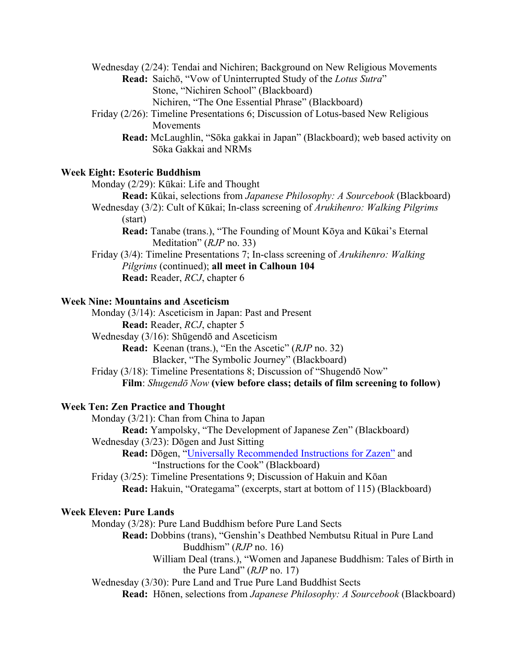Wednesday (2/24): Tendai and Nichiren; Background on New Religious Movements

**Read:** Saichō, "Vow of Uninterrupted Study of the *Lotus Sutra*" Stone, "Nichiren School" (Blackboard) Nichiren, "The One Essential Phrase" (Blackboard)

Friday (2/26): Timeline Presentations 6; Discussion of Lotus-based New Religious Movements

**Read:** McLaughlin, "Sōka gakkai in Japan" (Blackboard); web based activity on Sōka Gakkai and NRMs

#### **Week Eight: Esoteric Buddhism**

Monday (2/29): Kūkai: Life and Thought

**Read:** Kūkai, selections from *Japanese Philosophy: A Sourcebook* (Blackboard)

- Wednesday (3/2): Cult of Kūkai; In-class screening of *Arukihenro: Walking Pilgrims* (start)
	- **Read:** Tanabe (trans.), "The Founding of Mount Kōya and Kūkai's Eternal Meditation" (*RJP* no. 33)

Friday (3/4): Timeline Presentations 7; In-class screening of *Arukihenro: Walking Pilgrims* (continued); **all meet in Calhoun 104 Read:** Reader, *RCJ*, chapter 6

#### **Week Nine: Mountains and Asceticism**

Monday (3/14): Asceticism in Japan: Past and Present **Read:** Reader, *RCJ*, chapter 5 Wednesday (3/16): Shūgendō and Asceticism **Read:** Keenan (trans.), "En the Ascetic" (*RJP* no. 32) Blacker, "The Symbolic Journey" (Blackboard) Friday (3/18): Timeline Presentations 8; Discussion of "Shugendō Now" **Film**: *Shugendō Now* **(view before class; details of film screening to follow)**

# **Week Ten: Zen Practice and Thought**

Monday (3/21): Chan from China to Japan **Read:** Yampolsky, "The Development of Japanese Zen" (Blackboard) Wednesday (3/23): Dōgen and Just Sitting **Read:** Dōgen, "Universally Recommended Instructions for Zazen" and "Instructions for the Cook" (Blackboard)

Friday (3/25): Timeline Presentations 9; Discussion of Hakuin and Kōan **Read:** Hakuin, "Orategama" (excerpts, start at bottom of 115) (Blackboard)

#### **Week Eleven: Pure Lands**

Monday (3/28): Pure Land Buddhism before Pure Land Sects

- **Read:** Dobbins (trans), "Genshin's Deathbed Nembutsu Ritual in Pure Land Buddhism" (*RJP* no. 16)
	- William Deal (trans.), "Women and Japanese Buddhism: Tales of Birth in the Pure Land" (*RJP* no. 17)

Wednesday (3/30): Pure Land and True Pure Land Buddhist Sects

**Read:** Hōnen, selections from *Japanese Philosophy: A Sourcebook* (Blackboard)